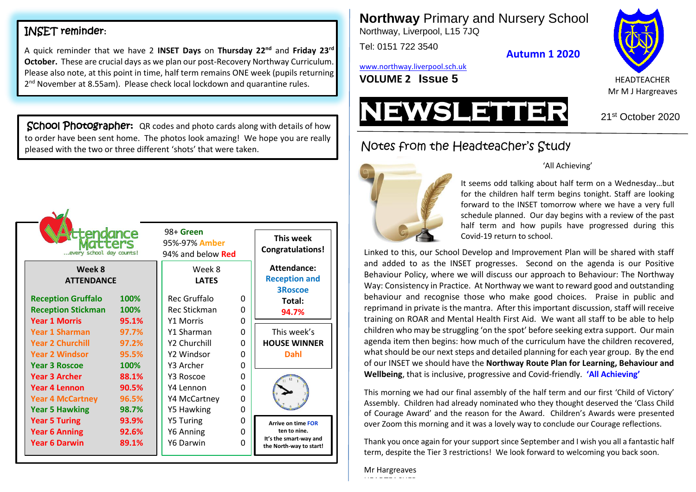# INSET reminder**:**

 $\sim$   $\sqrt{ }$ 

A quick reminder that we have 2 **INSET Days** on **Thursday 22nd** and **Friday 23rd October.** These are crucial days as we plan our post-Recovery Northway Curriculum. Please also note, at this point in time, half term remains ONE week (pupils returning 2<sup>nd</sup> November at 8.55am). Please check local lockdown and quarantine rules.

School Photographer: QR codes and photo cards along with details of how to order have been sent home. The photos look amazing! We hope you are really pleased with the two or three different 'shots' that were taken.

| ttendance<br><b>TTEPS</b><br>every school day counts!<br>Week 8<br><b>ATTENDANCE</b> |                         | 98+ Green<br>95%-97% Amber<br>94% and below <b>Red</b><br>Week 8<br><b>LATES</b> |             | This week<br><b>Congratulations!</b><br>Attendance:<br><b>Reception and</b>                    |  |
|--------------------------------------------------------------------------------------|-------------------------|----------------------------------------------------------------------------------|-------------|------------------------------------------------------------------------------------------------|--|
| <b>Reception Gruffalo</b>                                                            | 100%                    | Rec Gruffalo                                                                     | O           | <b>3Roscoe</b>                                                                                 |  |
| <b>Reception Stickman</b>                                                            | 100%                    | Rec Stickman                                                                     | ŋ           | Total:                                                                                         |  |
| <b>Year 1 Morris</b>                                                                 | 95.1%                   | <b>Y1 Morris</b>                                                                 | 0           | 94.7%                                                                                          |  |
| <b>Year 1 Sharman</b>                                                                | 97.7%                   | Y1 Sharman                                                                       | 0           | This week's                                                                                    |  |
| <b>Year 2 Churchill</b>                                                              | 97.2%                   | Y2 Churchill                                                                     | 0           | <b>HOUSE WINNER</b>                                                                            |  |
| <b>Year 2 Windsor</b>                                                                | 95.5%                   | Y2 Windsor                                                                       | 0           | Dahl                                                                                           |  |
| <b>Year 3 Roscoe</b>                                                                 | 100%                    | Y3 Archer                                                                        | 0           |                                                                                                |  |
| <b>Year 3 Archer</b>                                                                 | 88.1%                   | Y3 Roscoe                                                                        | O           |                                                                                                |  |
| <b>Year 4 Lennon</b>                                                                 | 90.5%                   | Y4 Lennon                                                                        | O           |                                                                                                |  |
| <b>Year 4 McCartney</b>                                                              | 96.5%                   | Y4 McCartney                                                                     | ŋ           |                                                                                                |  |
| <b>Year 5 Hawking</b>                                                                | 98.7%                   | Y5 Hawking                                                                       | 0           |                                                                                                |  |
| <b>Year 5 Turing</b><br><b>Year 6 Anning</b><br><b>Year 6 Darwin</b>                 | 93.9%<br>92.6%<br>89.1% | Y5 Turing<br>Y6 Anning<br>Y6 Darwin                                              | 0<br>O<br>0 | <b>Arrive on time FOR</b><br>ten to nine.<br>It's the smart-way and<br>the North-way to start! |  |

**Northway** Primary and Nursery School Northway, Liverpool, L15 7JQ

Tel: 0151 722 3540

**Autumn 1 2020**

[www.northway.liverpool.sch.uk](http://www.northway.liverpool.sch.uk/)

**VOLUME 2 ISSUE 5** HEADTEACHER





# Notes from the Headteacher's Study



## 'All Achieving'

It seems odd talking about half term on a Wednesday…but for the children half term begins tonight. Staff are looking forward to the INSET tomorrow where we have a very full schedule planned. Our day begins with a review of the past half term and how pupils have progressed during this Covid-19 return to school.

Linked to this, our School Develop and Improvement Plan will be shared with staff and added to as the INSET progresses. Second on the agenda is our Positive Behaviour Policy, where we will discuss our approach to Behaviour: The Northway Way: Consistency in Practice. At Northway we want to reward good and outstanding behaviour and recognise those who make good choices. Praise in public and reprimand in private is the mantra. After this important discussion, staff will receive training on ROAR and Mental Health First Aid. We want all staff to be able to help children who may be struggling 'on the spot' before seeking extra support. Our main agenda item then begins: how much of the curriculum have the children recovered, what should be our next steps and detailed planning for each year group. By the end of our INSET we should have the **Northway Route Plan for Learning, Behaviour and Wellbeing**, that is inclusive, progressive and Covid-friendly. **'All Achieving'**

This morning we had our final assembly of the half term and our first 'Child of Victory' Assembly. Children had already nominated who they thought deserved the 'Class Child of Courage Award' and the reason for the Award. Children's Awards were presented over Zoom this morning and it was a lovely way to conclude our Courage reflections.

Thank you once again for your support since September and I wish you all a fantastic half term, despite the Tier 3 restrictions! We look forward to welcoming you back soon.

### Mr Hargreaves HEADTEACHER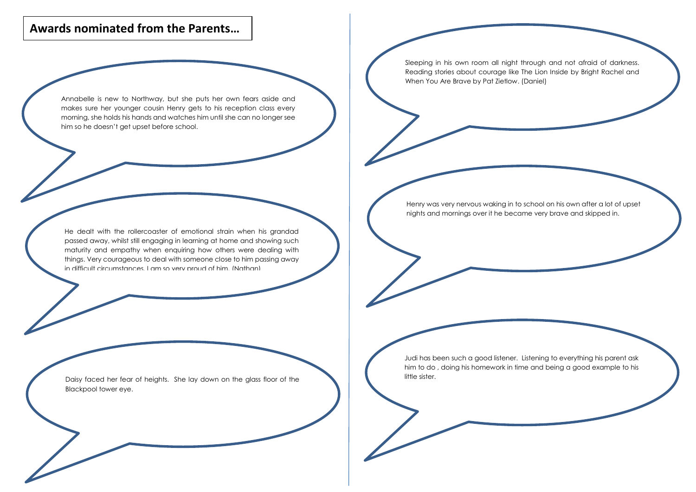# **Awards nominated from the Parents…**

Annabelle is new to Northway, but she puts her own fears aside and makes sure her younger cousin Henry gets to his reception class every morning, she holds his hands and watches him until she can no longer see him so he doesn't get upset before school.

Sleeping in his own room all night through and not afraid of darkness. Reading stories about courage like The Lion Inside by Bright Rachel and When You Are Brave by Pat Zietlow. (Daniel)

He dealt with the rollercoaster of emotional strain when his grandad passed away, whilst still engaging in learning at home and showing such maturity and empathy when enquiring how others were dealing with things. Very courageous to deal with someone close to him passing away in difficult circumstances. I am so very proud of him. (Nathan)

Henry was very nervous waking in to school on his own after a lot of upset nights and mornings over it he became very brave and skipped in.

Daisy faced her fear of heights. She lay down on the glass floor of the Blackpool tower eye.

Judi has been such a good listener. Listening to everything his parent ask him to do , doing his homework in time and being a good example to his little sister.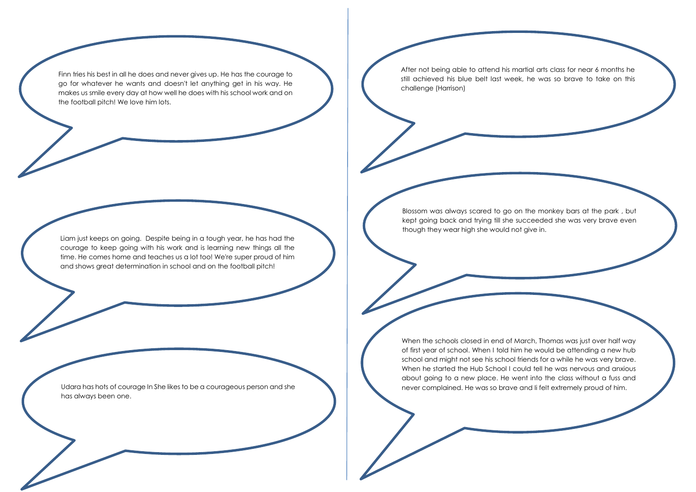Finn tries his best in all he does and never gives up. He has the courage to go for whatever he wants and doesn't let anything get in his way. He makes us smile every day at how well he does with his school work and on the football pitch! We love him lots.

Liam just keeps on going. Despite being in a tough year, he has had the courage to keep going with his work and is learning new things all the time. He comes home and teaches us a lot too! We're super proud of him and shows great determination in school and on the football pitch!

Udara has hots of courage In She likes to be a courageous person and she has always been one.

After not being able to attend his martial arts class for near 6 months he still achieved his blue belt last week, he was so brave to take on this challenge (Harrison)

Blossom was always scared to go on the monkey bars at the park , but kept going back and trying till she succeeded she was very brave even though they wear high she would not give in.

When the schools closed in end of March, Thomas was just over half way of first year of school. When I told him he would be attending a new hub school and might not see his school friends for a while he was very brave. When he started the Hub School I could tell he was nervous and anxious about going to a new place. He went into the class without a fuss and never complained. He was so brave and Ii felt extremely proud of him.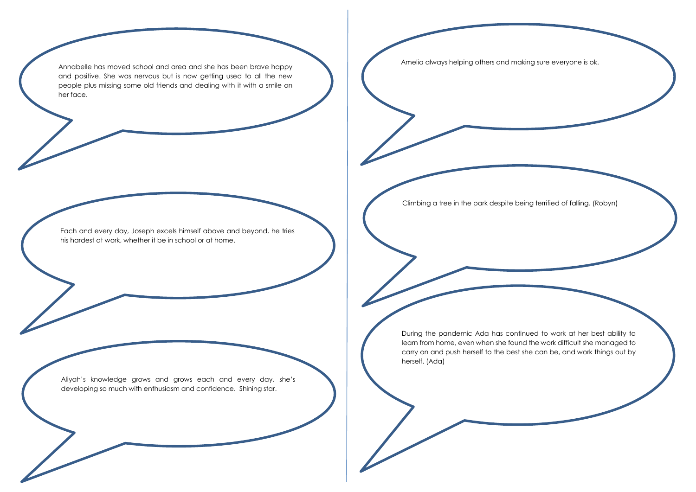Annabelle has moved school and area and she has been brave happy and positive. She was nervous but is now getting used to all the new people plus missing some old friends and dealing with it with a smile on her face.

Amelia always helping others and making sure everyone is ok.

Each and every day, Joseph excels himself above and beyond, he tries his hardest at work, whether it be in school or at home.

Aliyah's knowledge grows and grows each and every day, she's developing so much with enthusiasm and confidence. Shining star.

Climbing a tree in the park despite being terrified of falling. (Robyn)

During the pandemic Ada has continued to work at her best ability to learn from home, even when she found the work difficult she managed to carry on and push herself to the best she can be, and work things out by herself. (Ada)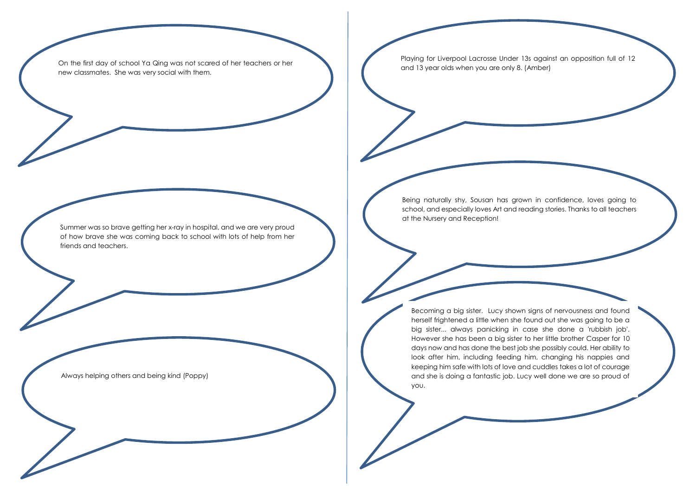On the first day of school Ya Qing was not scared of her teachers or her new classmates. She was very social with them.

Summer was so brave getting her x-ray in hospital, and we are very proud of how brave she was coming back to school with lots of help from her friends and teachers.

Always helping others and being kind (Poppy)

Playing for Liverpool Lacrosse Under 13s against an opposition full of 12 and 13 year olds when you are only 8. (Amber)

Being naturally shy, Sousan has grown in confidence, loves going to school, and especially loves Art and reading stories. Thanks to all teachers at the Nursery and Reception!

Becoming a big sister. Lucy shown signs of nervousness and found herself frightened a little when she found out she was going to be a big sister... always panicking in case she done a 'rubbish job'. However she has been a big sister to her little brother Casper for 10 days now and has done the best job she possibly could. Her ability to look after him, including feeding him, changing his nappies and keeping him safe with lots of love and cuddles takes a lot of courage and she is doing a fantastic job. Lucy well done we are so proud of you.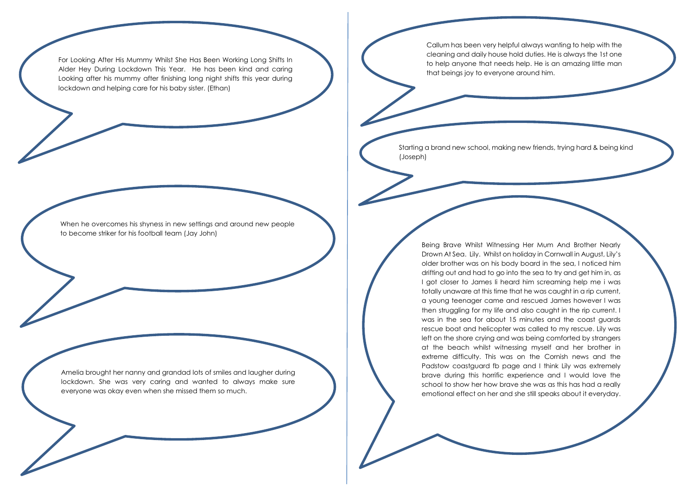For Looking After His Mummy Whilst She Has Been Working Long Shifts In Alder Hey During Lockdown This Year. He has been kind and caring Looking after his mummy after finishing long night shifts this year during lockdown and helping care for his baby sister. (Ethan)

Callum has been very helpful always wanting to help with the cleaning and daily house hold duties. He is always the 1st one to help anyone that needs help. He is an amazing little man that beings joy to everyone around him.

Starting a brand new school, making new friends, trying hard & being kind (Joseph)

When he overcomes his shyness in new settings and around new people to become striker for his football team (Jay John)

Amelia brought her nanny and grandad lots of smiles and laugher during lockdown. She was very caring and wanted to always make sure everyone was okay even when she missed them so much.

Being Brave Whilst Witnessing Her Mum And Brother Nearly Drown At Sea. Lily. Whilst on holiday in Cornwall in August, Lily's older brother was on his body board in the sea, I noticed him drifting out and had to go into the sea to try and get him in, as I got closer to James Ii heard him screaming help me i was totally unaware at this time that he was caught in a rip current, a young teenager came and rescued James however I was then struggling for my life and also caught in the rip current. I was in the sea for about 15 minutes and the coast guards rescue boat and helicopter was called to my rescue. Lily was left on the shore crying and was being comforted by strangers at the beach whilst witnessing myself and her brother in extreme difficulty. This was on the Cornish news and the Padstow coastguard fb page and I think Lily was extremely brave during this horrific experience and I would love the school to show her how brave she was as this has had a really emotional effect on her and she still speaks about it everyday.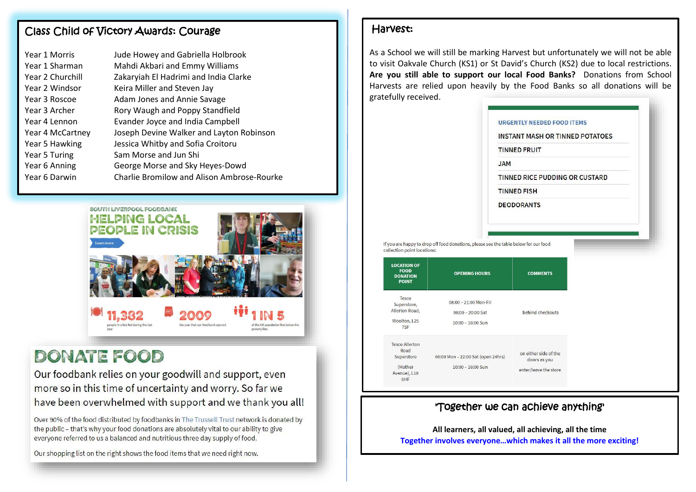## Class Child of Victory Awards: Courage

| Year 1 Morris    | Jude Howey and Gabriella Holbrook          |
|------------------|--------------------------------------------|
| Year 1 Sharman   | Mahdi Akbari and Emmy Williams             |
| Year 2 Churchill | Zakaryiah El Hadrimi and India Clarke      |
| Year 2 Windsor   | Keira Miller and Steven Jay                |
| Year 3 Roscoe    | Adam Jones and Annie Savage                |
| Year 3 Archer    | Rory Waugh and Poppy Standfield            |
| Year 4 Lennon    | Evander Joyce and India Campbell           |
| Year 4 McCartney | Joseph Devine Walker and Layton Robinson   |
| Year 5 Hawking   | Jessica Whitby and Sofia Croitoru          |
| Year 5 Turing    | Sam Morse and Jun Shi                      |
| Year 6 Anning    | George Morse and Sky Heyes-Dowd            |
| Year 6 Darwin    | Charlie Bromilow and Alison Ambrose-Rourke |
|                  |                                            |



# DONATE FOOD

Our foodbank relies on your goodwill and support, even more so in this time of uncertainty and worry. So far we have been overwhelmed with support and we thank you all!

Over 90% of the food distributed by foodbanks in The Trussell Trust network is donated by the public - that's why your food donations are absolutely vital to our ability to give everyone referred to us a balanced and nutritious three day supply of food.

Our shopping list on the right shows the food items that we need right now.

## Harvest:

As a School we will still be marking Harvest but unfortunately we will not be able to visit Oakvale Church (KS1) or St David's Church (KS2) due to local restrictions. **Are you still able to support our local Food Banks?** Donations from School Harvests are relied upon heavily by the Food Banks so all donations will be gratefully received.

|                                                                                                     | <b>JAM</b>                                                                                                   | <b>URGENTLY NEEDED FOOD ITEMS</b><br><b>INSTANT MASH OR TINNED POTATOES</b><br><b>TINNED FRUIT</b> |  |
|-----------------------------------------------------------------------------------------------------|--------------------------------------------------------------------------------------------------------------|----------------------------------------------------------------------------------------------------|--|
|                                                                                                     |                                                                                                              | TINNED RICE PUDDING OR CUSTARD                                                                     |  |
|                                                                                                     | <b>TINNED FISH</b>                                                                                           |                                                                                                    |  |
|                                                                                                     |                                                                                                              |                                                                                                    |  |
| collection point locations:<br><b>LOCATION OF</b><br><b>FOOD</b><br><b>DONATION</b><br><b>POINT</b> | If you are happy to drop off food donations, please see the table below for our food<br><b>OPENING HOURS</b> | <b>COMMENTS</b>                                                                                    |  |
| Tesco<br>Superstore,<br>Allerton Road,<br>Woolton, L25<br>7SF                                       | 08:00 - 21:00 Mon-Fri<br>08:00 - 20:00 Sat<br>10:00 - 16:00 Sun                                              | behind checkouts                                                                                   |  |

## 'Together we can achieve anything'

**All learners, all valued, all achieving, all the time Together involves everyone…which makes it all the more exciting!**